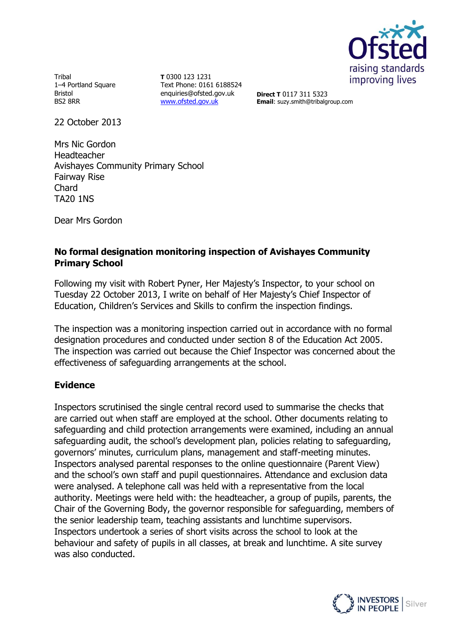

**Tribal** 1–4 Portland Square Bristol BS2 8RR

**T** 0300 123 1231 Text Phone: 0161 6188524 enquiries@ofsted.gov.uk [www.ofsted.gov.uk](http://www.ofsted.gov.uk/)

**Direct T** 0117 311 5323 **Email**: suzy.smith@tribalgroup.com

22 October 2013

Mrs Nic Gordon Headteacher Avishayes Community Primary School Fairway Rise Chard TA20 1NS

Dear Mrs Gordon

### **No formal designation monitoring inspection of Avishayes Community Primary School**

Following my visit with Robert Pyner, Her Majesty's Inspector, to your school on Tuesday 22 October 2013, I write on behalf of Her Majesty's Chief Inspector of Education, Children's Services and Skills to confirm the inspection findings.

The inspection was a monitoring inspection carried out in accordance with no formal designation procedures and conducted under section 8 of the Education Act 2005. The inspection was carried out because the Chief Inspector was concerned about the effectiveness of safeguarding arrangements at the school.

#### **Evidence**

Inspectors scrutinised the single central record used to summarise the checks that are carried out when staff are employed at the school. Other documents relating to safeguarding and child protection arrangements were examined, including an annual safeguarding audit, the school's development plan, policies relating to safeguarding, governors' minutes, curriculum plans, management and staff-meeting minutes. Inspectors analysed parental responses to the online questionnaire (Parent View) and the school's own staff and pupil questionnaires. Attendance and exclusion data were analysed. A telephone call was held with a representative from the local authority. Meetings were held with: the headteacher, a group of pupils, parents, the Chair of the Governing Body, the governor responsible for safeguarding, members of the senior leadership team, teaching assistants and lunchtime supervisors. Inspectors undertook a series of short visits across the school to look at the behaviour and safety of pupils in all classes, at break and lunchtime. A site survey was also conducted.

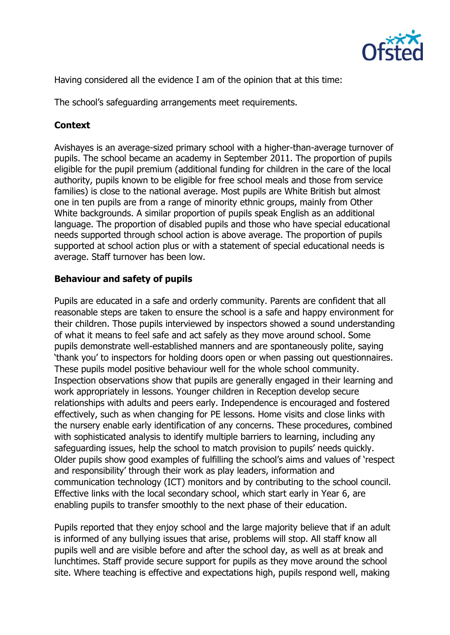

Having considered all the evidence I am of the opinion that at this time:

The school's safeguarding arrangements meet requirements.

# **Context**

Avishayes is an average-sized primary school with a higher-than-average turnover of pupils. The school became an academy in September 2011. The proportion of pupils eligible for the pupil premium (additional funding for children in the care of the local authority, pupils known to be eligible for free school meals and those from service families) is close to the national average. Most pupils are White British but almost one in ten pupils are from a range of minority ethnic groups, mainly from Other White backgrounds. A similar proportion of pupils speak English as an additional language. The proportion of disabled pupils and those who have special educational needs supported through school action is above average. The proportion of pupils supported at school action plus or with a statement of special educational needs is average. Staff turnover has been low.

#### **Behaviour and safety of pupils**

Pupils are educated in a safe and orderly community. Parents are confident that all reasonable steps are taken to ensure the school is a safe and happy environment for their children. Those pupils interviewed by inspectors showed a sound understanding of what it means to feel safe and act safely as they move around school. Some pupils demonstrate well-established manners and are spontaneously polite, saying 'thank you' to inspectors for holding doors open or when passing out questionnaires. These pupils model positive behaviour well for the whole school community. Inspection observations show that pupils are generally engaged in their learning and work appropriately in lessons. Younger children in Reception develop secure relationships with adults and peers early. Independence is encouraged and fostered effectively, such as when changing for PE lessons. Home visits and close links with the nursery enable early identification of any concerns. These procedures, combined with sophisticated analysis to identify multiple barriers to learning, including any safeguarding issues, help the school to match provision to pupils' needs quickly. Older pupils show good examples of fulfilling the school's aims and values of 'respect and responsibility' through their work as play leaders, information and communication technology (ICT) monitors and by contributing to the school council. Effective links with the local secondary school, which start early in Year 6, are enabling pupils to transfer smoothly to the next phase of their education.

Pupils reported that they enjoy school and the large majority believe that if an adult is informed of any bullying issues that arise, problems will stop. All staff know all pupils well and are visible before and after the school day, as well as at break and lunchtimes. Staff provide secure support for pupils as they move around the school site. Where teaching is effective and expectations high, pupils respond well, making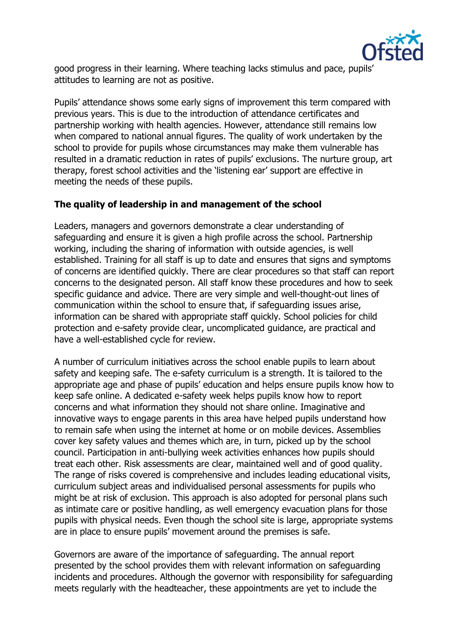

good progress in their learning. Where teaching lacks stimulus and pace, pupils' attitudes to learning are not as positive.

Pupils' attendance shows some early signs of improvement this term compared with previous years. This is due to the introduction of attendance certificates and partnership working with health agencies. However, attendance still remains low when compared to national annual figures. The quality of work undertaken by the school to provide for pupils whose circumstances may make them vulnerable has resulted in a dramatic reduction in rates of pupils' exclusions. The nurture group, art therapy, forest school activities and the 'listening ear' support are effective in meeting the needs of these pupils.

#### **The quality of leadership in and management of the school**

Leaders, managers and governors demonstrate a clear understanding of safeguarding and ensure it is given a high profile across the school. Partnership working, including the sharing of information with outside agencies, is well established. Training for all staff is up to date and ensures that signs and symptoms of concerns are identified quickly. There are clear procedures so that staff can report concerns to the designated person. All staff know these procedures and how to seek specific guidance and advice. There are very simple and well-thought-out lines of communication within the school to ensure that, if safeguarding issues arise, information can be shared with appropriate staff quickly. School policies for child protection and e-safety provide clear, uncomplicated guidance, are practical and have a well-established cycle for review.

A number of curriculum initiatives across the school enable pupils to learn about safety and keeping safe. The e-safety curriculum is a strength. It is tailored to the appropriate age and phase of pupils' education and helps ensure pupils know how to keep safe online. A dedicated e-safety week helps pupils know how to report concerns and what information they should not share online. Imaginative and innovative ways to engage parents in this area have helped pupils understand how to remain safe when using the internet at home or on mobile devices. Assemblies cover key safety values and themes which are, in turn, picked up by the school council. Participation in anti-bullying week activities enhances how pupils should treat each other. Risk assessments are clear, maintained well and of good quality. The range of risks covered is comprehensive and includes leading educational visits, curriculum subject areas and individualised personal assessments for pupils who might be at risk of exclusion. This approach is also adopted for personal plans such as intimate care or positive handling, as well emergency evacuation plans for those pupils with physical needs. Even though the school site is large, appropriate systems are in place to ensure pupils' movement around the premises is safe.

Governors are aware of the importance of safeguarding. The annual report presented by the school provides them with relevant information on safeguarding incidents and procedures. Although the governor with responsibility for safeguarding meets regularly with the headteacher, these appointments are yet to include the